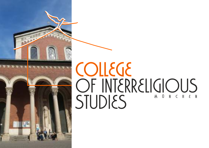

# COLLEGE OF INTERRELIGIOUS STUDIES MONCHEN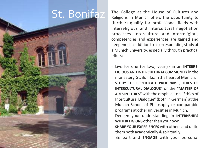# St. Bonifaz

The College at the House of Cultures and Religions in Munich offers the opportunity to (further) qualify for professional fields with interreligious and intercultural negotiation processes. Intercultural and interreligious competencies and experiences are gained and deepened in addition to a corresponding study at a Munich university, especially through practical offers:

- Live for one (or two) year(s) in an **INTERRE-LIGIOUS AND INTERCULTURAL COMMUNITY** in the monastery St. Bonifaz in the heart of Munich.
- **STUDY THE CERTIFICATE PROGRAM ETHICS OF INTERCULTURAL DIALOGUE"** or the **"MASTER OF ARTS IN ETHICS"** with the emphasis on "Ethics of Intercultural Dialogue" (both in German) at the Munich School of Philosophy or comparable programs at other universities in Munich.
- Deepen your understanding in **INTERNSHIPS WITH RELIGIONS**other than your own.
- **SHARE YOUR EXPERIENCES** with others and unite them both academically & spiritually.
- Be part and **ENGAGE** with your personal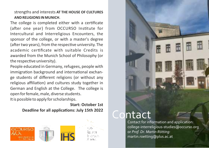#### strengths and interests **AT THE HOUSE OF CULTURES AND RELIGIONS IN MUNICH**.

The college is completed either with a certificate (after one year) from OCCURSO Institute for Intercultural and Interreligious Encounters, the sponsor of the college, or with a master's degree (after two years), from the respective university. The academic cerficate with suitable Credits is awarded from the Munich School of Philosophy (or the respective university).

People educated in Germany, refugees, people with immigration background and international exchange students of different religions (or without any religious affiliation) and cultures study together in German and English at the College. The college is open for female, male, diverse students. It is possible to apply for scholarships.

> **Start: October 1st Deadline for all applications: July 15th 2022**



## Intact

Contact for information and application: college-interreligious-studies@occurso.org or *Prof. Dr. Martin Rötting:* martin.roetting@plus.ac.at